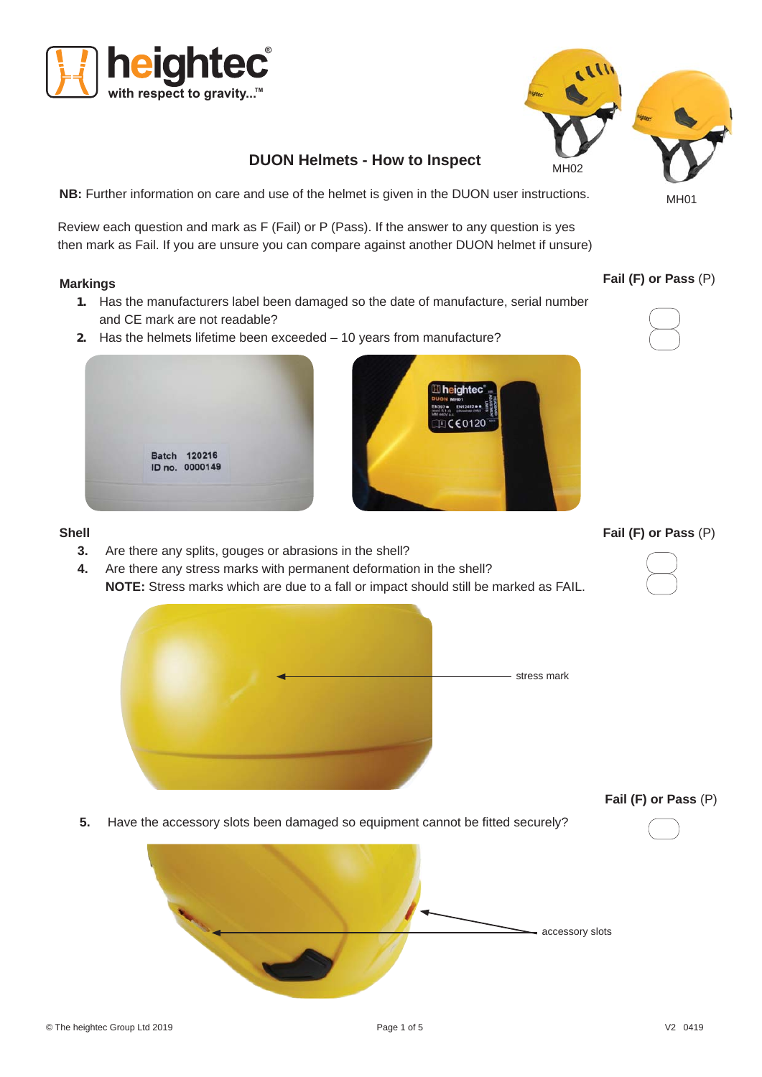# **DUON Helmets - How to Inspect**

ighted

 $C$  $60120$ 

**NB:** Further information on care and use of the helmet is given in the DUON user instructions.

Review each question and mark as F (Fail) or P (Pass). If the answer to any question is yes then mark as Fail. If you are unsure you can compare against another DUON helmet if unsure)

#### **Markings**

- **1.** Has the manufacturers label been damaged so the date of manufacture, serial number and CE mark are not readable?
- **2.** Has the helmets lifetime been exceeded 10 years from manufacture?



**3.** Are there any splits, gouges or abrasions in the shell?

Batch 120216 ID no. 0000149

**4.** Are there any stress marks with permanent deformation in the shell? **NOTE:** Stress marks which are due to a fall or impact should still be marked as FAIL.



**Fail (F) or Pass** (P)

**Fail (F) or Pass** (P)



**Fail (F) or Pass** (P)

**5.** Have the accessory slots been damaged so equipment cannot be fitted securely?



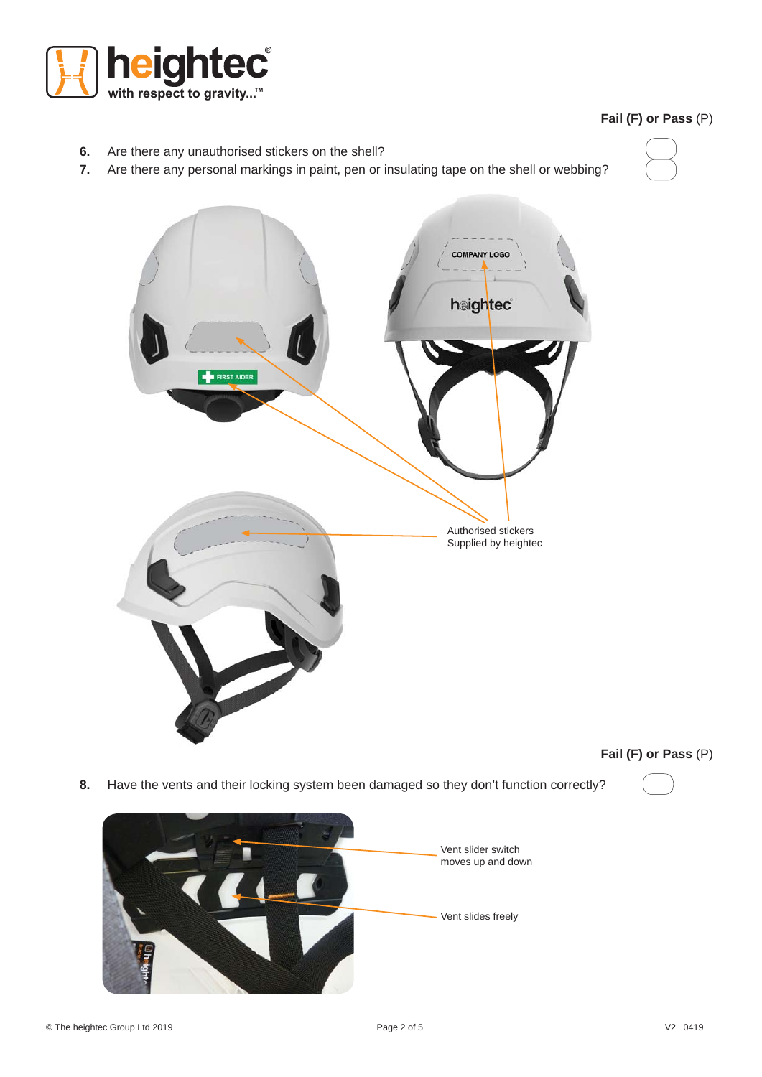

# **Fail (F) or Pass** (P)

- **6.** Are there any unauthorised stickers on the shell?
- **7.** Are there any personal markings in paint, pen or insulating tape on the shell or webbing?





**Fail (F) or Pass** (P)

**8.** Have the vents and their locking system been damaged so they don't function correctly?

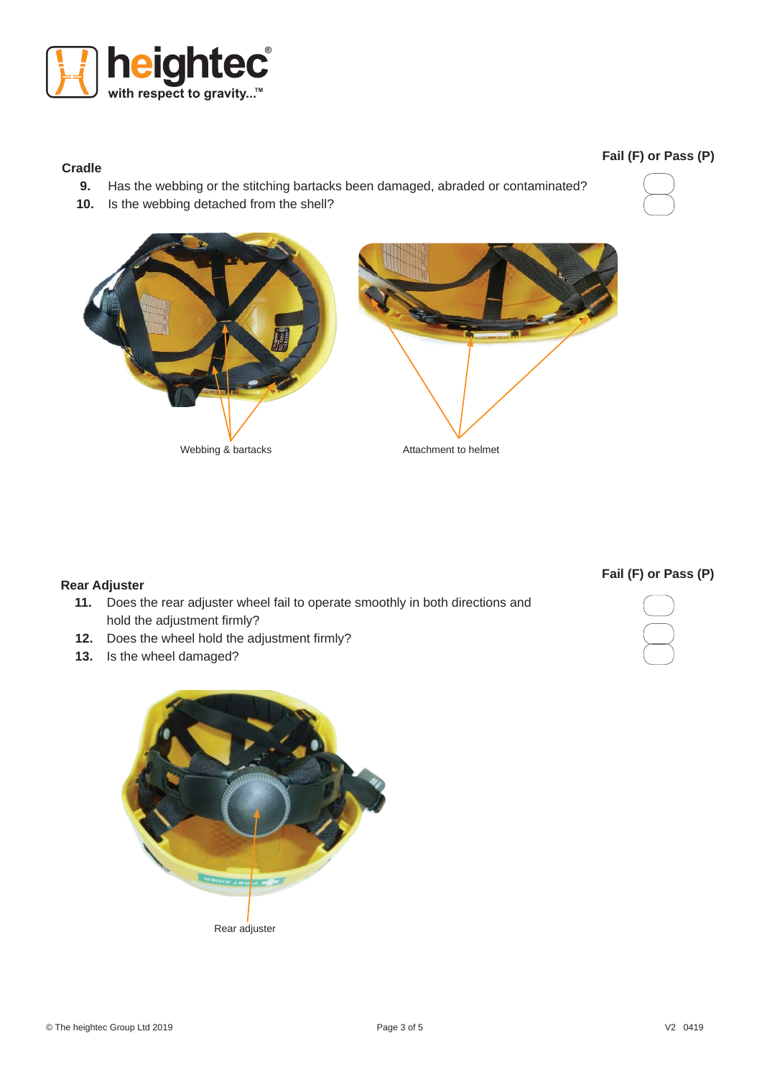

# **Cradle**

- **9.** Has the webbing or the stitching bartacks been damaged, abraded or contaminated?
- **10.** Is the webbing detached from the shell?



**Fail (F) or Pass (P)**



# **Rear Adjuster**

- **11.** Does the rear adjuster wheel fail to operate smoothly in both directions and hold the adjustment firmly?
- **12.** Does the wheel hold the adjustment firmly?
- **13.** Is the wheel damaged?



**Fail (F) or Pass (P)**

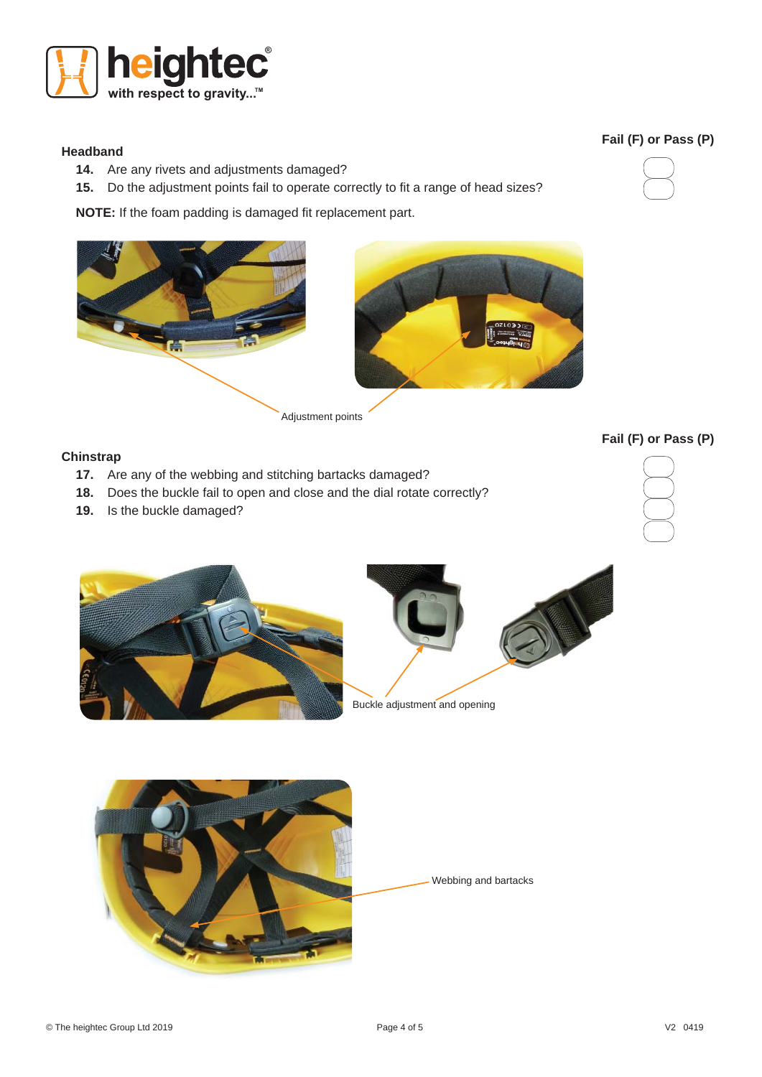

#### **Headband**

- **14.** Are any rivets and adjustments damaged?
- **15.** Do the adjustment points fail to operate correctly to fit a range of head sizes?

**NOTE:** If the foam padding is damaged fit replacement part.



#### **Chinstrap**

- **17.** Are any of the webbing and stitching bartacks damaged?
- **18.** Does the buckle fail to open and close and the dial rotate correctly?
- **19.** Is the buckle damaged?











# **Fail (F) or Pass (P)**